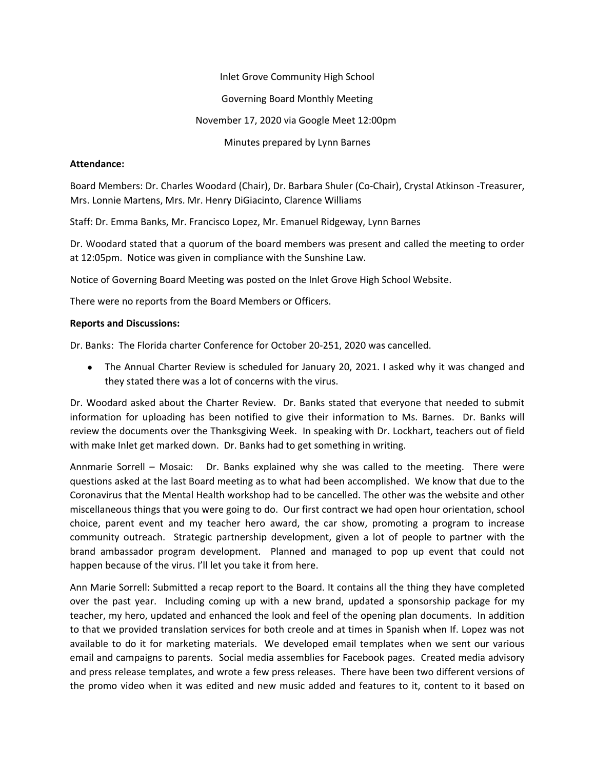Inlet Grove Community High School

Governing Board Monthly Meeting

# November 17, 2020 via Google Meet 12:00pm

Minutes prepared by Lynn Barnes

# **Attendance:**

Board Members: Dr. Charles Woodard (Chair), Dr. Barbara Shuler (Co-Chair), Crystal Atkinson -Treasurer, Mrs. Lonnie Martens, Mrs. Mr. Henry DiGiacinto, Clarence Williams

Staff: Dr. Emma Banks, Mr. Francisco Lopez, Mr. Emanuel Ridgeway, Lynn Barnes

Dr. Woodard stated that a quorum of the board members was present and called the meeting to order at 12:05pm. Notice was given in compliance with the Sunshine Law.

Notice of Governing Board Meeting was posted on the Inlet Grove High School Website.

There were no reports from the Board Members or Officers.

# **Reports and Discussions:**

Dr. Banks: The Florida charter Conference for October 20-251, 2020 was cancelled.

 The Annual Charter Review is scheduled for January 20, 2021. I asked why it was changed and they stated there was a lot of concerns with the virus.

Dr. Woodard asked about the Charter Review. Dr. Banks stated that everyone that needed to submit information for uploading has been notified to give their information to Ms. Barnes. Dr. Banks will review the documents over the Thanksgiving Week. In speaking with Dr. Lockhart, teachers out of field with make Inlet get marked down. Dr. Banks had to get something in writing.

Annmarie Sorrell – Mosaic: Dr. Banks explained why she was called to the meeting. There were questions asked at the last Board meeting as to what had been accomplished. We know that due to the Coronavirus that the Mental Health workshop had to be cancelled. The other was the website and other miscellaneous things that you were going to do. Our first contract we had open hour orientation, school choice, parent event and my teacher hero award, the car show, promoting a program to increase community outreach. Strategic partnership development, given a lot of people to partner with the brand ambassador program development. Planned and managed to pop up event that could not happen because of the virus. I'll let you take it from here.

Ann Marie Sorrell: Submitted a recap report to the Board. It contains all the thing they have completed over the past year. Including coming up with a new brand, updated a sponsorship package for my teacher, my hero, updated and enhanced the look and feel of the opening plan documents. In addition to that we provided translation services for both creole and at times in Spanish when If. Lopez was not available to do it for marketing materials. We developed email templates when we sent our various email and campaigns to parents. Social media assemblies for Facebook pages. Created media advisory and press release templates, and wrote a few press releases. There have been two different versions of the promo video when it was edited and new music added and features to it, content to it based on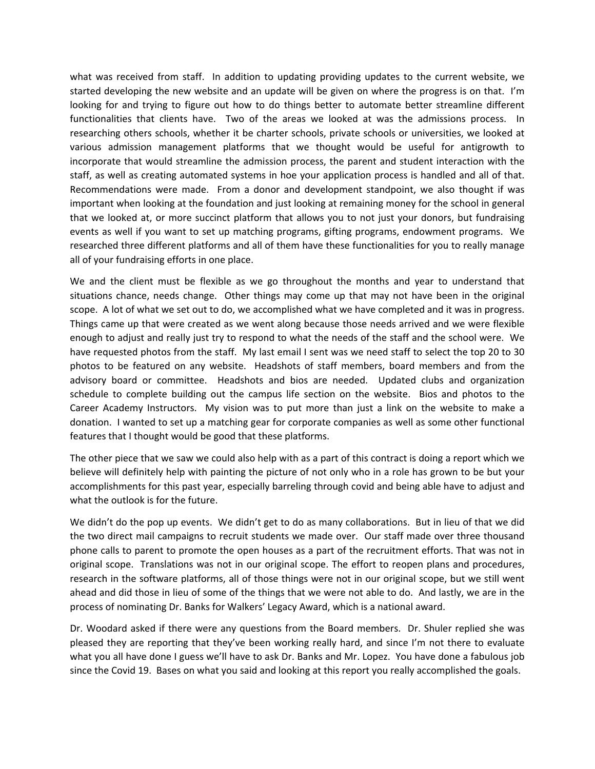what was received from staff. In addition to updating providing updates to the current website, we started developing the new website and an update will be given on where the progress is on that. I'm looking for and trying to figure out how to do things better to automate better streamline different functionalities that clients have. Two of the areas we looked at was the admissions process. In researching others schools, whether it be charter schools, private schools or universities, we looked at various admission management platforms that we thought would be useful for antigrowth to incorporate that would streamline the admission process, the parent and student interaction with the staff, as well as creating automated systems in hoe your application process is handled and all of that. Recommendations were made. From a donor and development standpoint, we also thought if was important when looking at the foundation and just looking at remaining money for the school in general that we looked at, or more succinct platform that allows you to not just your donors, but fundraising events as well if you want to set up matching programs, gifting programs, endowment programs. We researched three different platforms and all of them have these functionalities for you to really manage all of your fundraising efforts in one place.

We and the client must be flexible as we go throughout the months and year to understand that situations chance, needs change. Other things may come up that may not have been in the original scope. A lot of what we set out to do, we accomplished what we have completed and it was in progress. Things came up that were created as we went along because those needs arrived and we were flexible enough to adjust and really just try to respond to what the needs of the staff and the school were. We have requested photos from the staff. My last email I sent was we need staff to select the top 20 to 30 photos to be featured on any website. Headshots of staff members, board members and from the advisory board or committee. Headshots and bios are needed. Updated clubs and organization schedule to complete building out the campus life section on the website. Bios and photos to the Career Academy Instructors. My vision was to put more than just a link on the website to make a donation. I wanted to set up a matching gear for corporate companies as well as some other functional features that I thought would be good that these platforms.

The other piece that we saw we could also help with as a part of this contract is doing a report which we believe will definitely help with painting the picture of not only who in a role has grown to be but your accomplishments for this past year, especially barreling through covid and being able have to adjust and what the outlook is for the future.

We didn't do the pop up events. We didn't get to do as many collaborations. But in lieu of that we did the two direct mail campaigns to recruit students we made over. Our staff made over three thousand phone calls to parent to promote the open houses as a part of the recruitment efforts. That was not in original scope. Translations was not in our original scope. The effort to reopen plans and procedures, research in the software platforms, all of those things were not in our original scope, but we still went ahead and did those in lieu of some of the things that we were not able to do. And lastly, we are in the process of nominating Dr. Banks for Walkers' Legacy Award, which is a national award.

Dr. Woodard asked if there were any questions from the Board members. Dr. Shuler replied she was pleased they are reporting that they've been working really hard, and since I'm not there to evaluate what you all have done I guess we'll have to ask Dr. Banks and Mr. Lopez. You have done a fabulous job since the Covid 19. Bases on what you said and looking at this report you really accomplished the goals.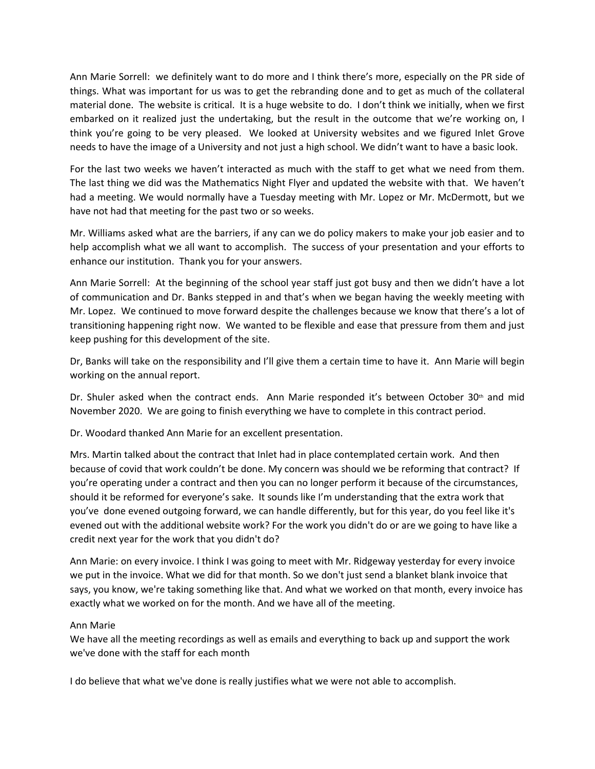Ann Marie Sorrell: we definitely want to do more and I think there's more, especially on the PR side of things. What was important for us was to get the rebranding done and to get as much of the collateral material done. The website is critical. It is a huge website to do. I don't think we initially, when we first embarked on it realized just the undertaking, but the result in the outcome that we're working on, I think you're going to be very pleased. We looked at University websites and we figured Inlet Grove needs to have the image of a University and not just a high school. We didn't want to have a basic look.

For the last two weeks we haven't interacted as much with the staff to get what we need from them. The last thing we did was the Mathematics Night Flyer and updated the website with that. We haven't had a meeting. We would normally have a Tuesday meeting with Mr. Lopez or Mr. McDermott, but we have not had that meeting for the past two or so weeks.

Mr. Williams asked what are the barriers, if any can we do policy makers to make your job easier and to help accomplish what we all want to accomplish. The success of your presentation and your efforts to enhance our institution. Thank you for your answers.

Ann Marie Sorrell: At the beginning of the school year staff just got busy and then we didn't have a lot of communication and Dr. Banks stepped in and that's when we began having the weekly meeting with Mr. Lopez. We continued to move forward despite the challenges because we know that there's a lot of transitioning happening right now. We wanted to be flexible and ease that pressure from them and just keep pushing for this development of the site.

Dr, Banks will take on the responsibility and I'll give them a certain time to have it. Ann Marie will begin working on the annual report.

Dr. Shuler asked when the contract ends. Ann Marie responded it's between October 30<sup>th</sup> and mid November 2020. We are going to finish everything we have to complete in this contract period.

Dr. Woodard thanked Ann Marie for an excellent presentation.

Mrs. Martin talked about the contract that Inlet had in place contemplated certain work. And then because of covid that work couldn't be done. My concern was should we be reforming that contract? If you're operating under a contract and then you can no longer perform it because of the circumstances, should it be reformed for everyone's sake. It sounds like I'm understanding that the extra work that you've done evened outgoing forward, we can handle differently, but for this year, do you feel like it's evened out with the additional website work? For the work you didn't do or are we going to have like a credit next year for the work that you didn't do?

Ann Marie: on every invoice. I think I was going to meet with Mr. Ridgeway yesterday for every invoice we put in the invoice. What we did for that month. So we don't just send a blanket blank invoice that says, you know, we're taking something like that. And what we worked on that month, every invoice has exactly what we worked on for the month. And we have all of the meeting.

# Ann Marie

We have all the meeting recordings as well as emails and everything to back up and support the work we've done with the staff for each month

I do believe that what we've done is really justifies what we were not able to accomplish.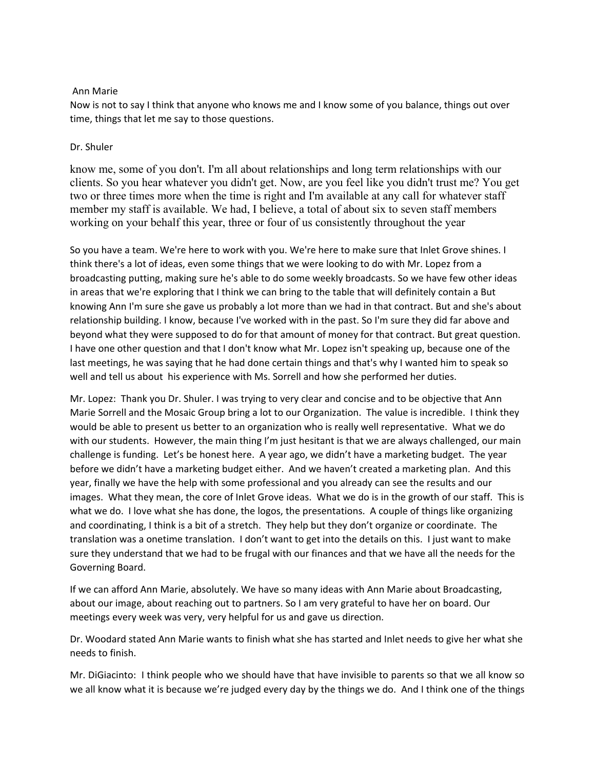### Ann Marie

Now is not to say I think that anyone who knows me and I know some of you balance, things out over time, things that let me say to those questions.

### Dr. Shuler

know me, some of you don't. I'm all about relationships and long term relationships with our clients. So you hear whatever you didn't get. Now, are you feel like you didn't trust me? You get two or three times more when the time is right and I'm available at any call for whatever staff member my staff is available. We had, I believe, a total of about six to seven staff members working on your behalf this year, three or four of us consistently throughout the year

So you have a team. We're here to work with you. We're here to make sure that Inlet Grove shines. I think there's a lot of ideas, even some things that we were looking to do with Mr. Lopez from a broadcasting putting, making sure he's able to do some weekly broadcasts. So we have few other ideas in areas that we're exploring that I think we can bring to the table that will definitely contain a But knowing Ann I'm sure she gave us probably a lot more than we had in that contract. But and she's about relationship building. I know, because I've worked with in the past. So I'm sure they did far above and beyond what they were supposed to do for that amount of money for that contract. But great question. I have one other question and that I don't know what Mr. Lopez isn't speaking up, because one of the last meetings, he was saying that he had done certain things and that's why I wanted him to speak so well and tell us about his experience with Ms. Sorrell and how she performed her duties.

Mr. Lopez: Thank you Dr. Shuler. I was trying to very clear and concise and to be objective that Ann Marie Sorrell and the Mosaic Group bring a lot to our Organization. The value is incredible. I think they would be able to present us better to an organization who is really well representative. What we do with our students. However, the main thing I'm just hesitant is that we are always challenged, our main challenge is funding. Let's be honest here. A year ago, we didn't have a marketing budget. The year before we didn't have a marketing budget either. And we haven't created a marketing plan. And this year, finally we have the help with some professional and you already can see the results and our images. What they mean, the core of Inlet Grove ideas. What we do is in the growth of our staff. This is what we do. I love what she has done, the logos, the presentations. A couple of things like organizing and coordinating, I think is a bit of a stretch. They help but they don't organize or coordinate. The translation was a onetime translation. I don't want to get into the details on this. I just want to make sure they understand that we had to be frugal with our finances and that we have all the needs for the Governing Board.

If we can afford Ann Marie, absolutely. We have so many ideas with Ann Marie about Broadcasting, about our image, about reaching out to partners. So I am very grateful to have her on board. Our meetings every week was very, very helpful for us and gave us direction.

Dr. Woodard stated Ann Marie wants to finish what she has started and Inlet needs to give her what she needs to finish.

Mr. DiGiacinto: I think people who we should have that have invisible to parents so that we all know so we all know what it is because we're judged every day by the things we do. And I think one of the things